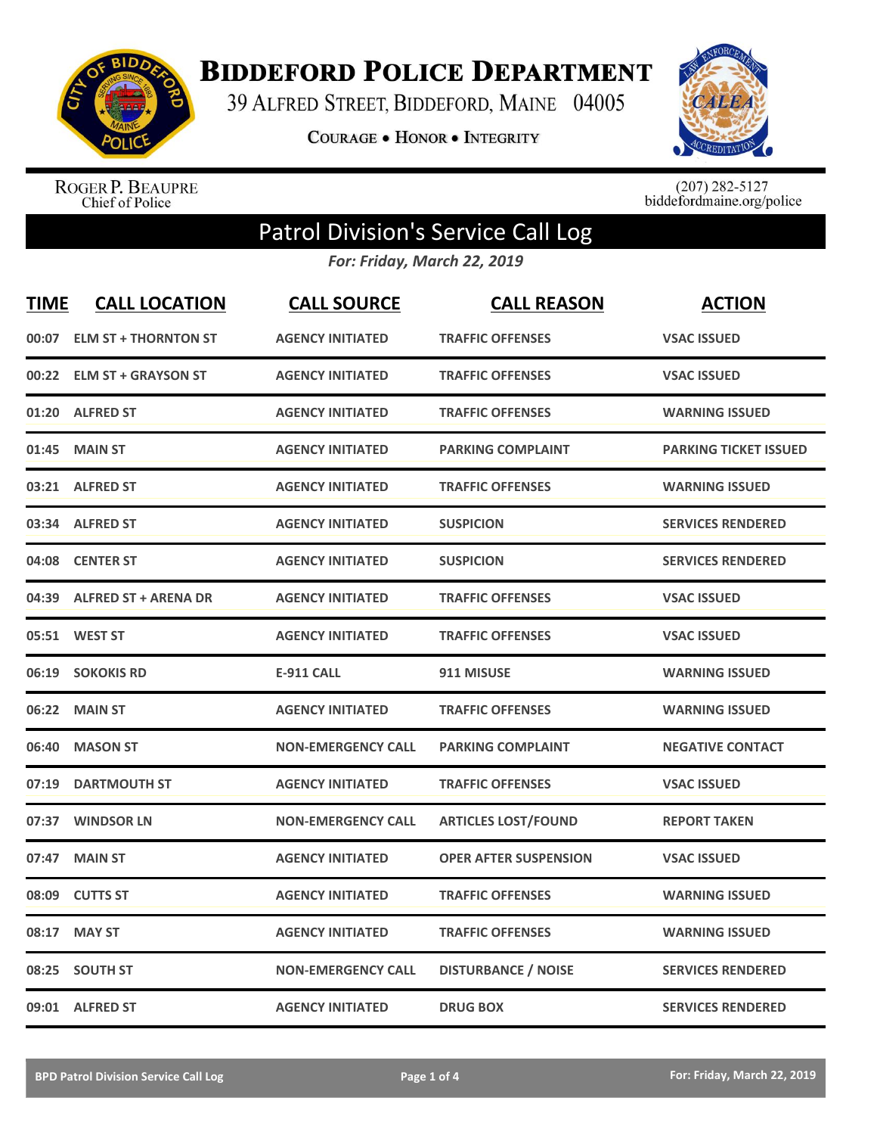

**BIDDEFORD POLICE DEPARTMENT** 

39 ALFRED STREET, BIDDEFORD, MAINE 04005

COURAGE . HONOR . INTEGRITY



ROGER P. BEAUPRE<br>Chief of Police

 $(207)$  282-5127<br>biddefordmaine.org/police

## Patrol Division's Service Call Log

*For: Friday, March 22, 2019*

| <b>TIME</b> | <b>CALL LOCATION</b>        | <b>CALL SOURCE</b>        | <b>CALL REASON</b>           | <b>ACTION</b>                |
|-------------|-----------------------------|---------------------------|------------------------------|------------------------------|
| 00:07       | <b>ELM ST + THORNTON ST</b> | <b>AGENCY INITIATED</b>   | <b>TRAFFIC OFFENSES</b>      | <b>VSAC ISSUED</b>           |
| 00:22       | <b>ELM ST + GRAYSON ST</b>  | <b>AGENCY INITIATED</b>   | <b>TRAFFIC OFFENSES</b>      | <b>VSAC ISSUED</b>           |
| 01:20       | <b>ALFRED ST</b>            | <b>AGENCY INITIATED</b>   | <b>TRAFFIC OFFENSES</b>      | <b>WARNING ISSUED</b>        |
| 01:45       | <b>MAIN ST</b>              | <b>AGENCY INITIATED</b>   | <b>PARKING COMPLAINT</b>     | <b>PARKING TICKET ISSUED</b> |
| 03:21       | <b>ALFRED ST</b>            | <b>AGENCY INITIATED</b>   | <b>TRAFFIC OFFENSES</b>      | <b>WARNING ISSUED</b>        |
| 03:34       | <b>ALFRED ST</b>            | <b>AGENCY INITIATED</b>   | <b>SUSPICION</b>             | <b>SERVICES RENDERED</b>     |
| 04:08       | <b>CENTER ST</b>            | <b>AGENCY INITIATED</b>   | <b>SUSPICION</b>             | <b>SERVICES RENDERED</b>     |
| 04:39       | <b>ALFRED ST + ARENA DR</b> | <b>AGENCY INITIATED</b>   | <b>TRAFFIC OFFENSES</b>      | <b>VSAC ISSUED</b>           |
|             | 05:51 WEST ST               | <b>AGENCY INITIATED</b>   | <b>TRAFFIC OFFENSES</b>      | <b>VSAC ISSUED</b>           |
| 06:19       | <b>SOKOKIS RD</b>           | <b>E-911 CALL</b>         | 911 MISUSE                   | <b>WARNING ISSUED</b>        |
| 06:22       | <b>MAIN ST</b>              | <b>AGENCY INITIATED</b>   | <b>TRAFFIC OFFENSES</b>      | <b>WARNING ISSUED</b>        |
| 06:40       | <b>MASON ST</b>             | <b>NON-EMERGENCY CALL</b> | <b>PARKING COMPLAINT</b>     | <b>NEGATIVE CONTACT</b>      |
| 07:19       | <b>DARTMOUTH ST</b>         | <b>AGENCY INITIATED</b>   | <b>TRAFFIC OFFENSES</b>      | <b>VSAC ISSUED</b>           |
| 07:37       | <b>WINDSOR LN</b>           | <b>NON-EMERGENCY CALL</b> | <b>ARTICLES LOST/FOUND</b>   | <b>REPORT TAKEN</b>          |
| 07:47       | <b>MAIN ST</b>              | <b>AGENCY INITIATED</b>   | <b>OPER AFTER SUSPENSION</b> | <b>VSAC ISSUED</b>           |
| 08:09       | <b>CUTTS ST</b>             | <b>AGENCY INITIATED</b>   | <b>TRAFFIC OFFENSES</b>      | <b>WARNING ISSUED</b>        |
| 08:17       | <b>MAY ST</b>               | <b>AGENCY INITIATED</b>   | <b>TRAFFIC OFFENSES</b>      | <b>WARNING ISSUED</b>        |
| 08:25       | <b>SOUTH ST</b>             | <b>NON-EMERGENCY CALL</b> | <b>DISTURBANCE / NOISE</b>   | <b>SERVICES RENDERED</b>     |
|             | 09:01 ALFRED ST             | <b>AGENCY INITIATED</b>   | <b>DRUG BOX</b>              | <b>SERVICES RENDERED</b>     |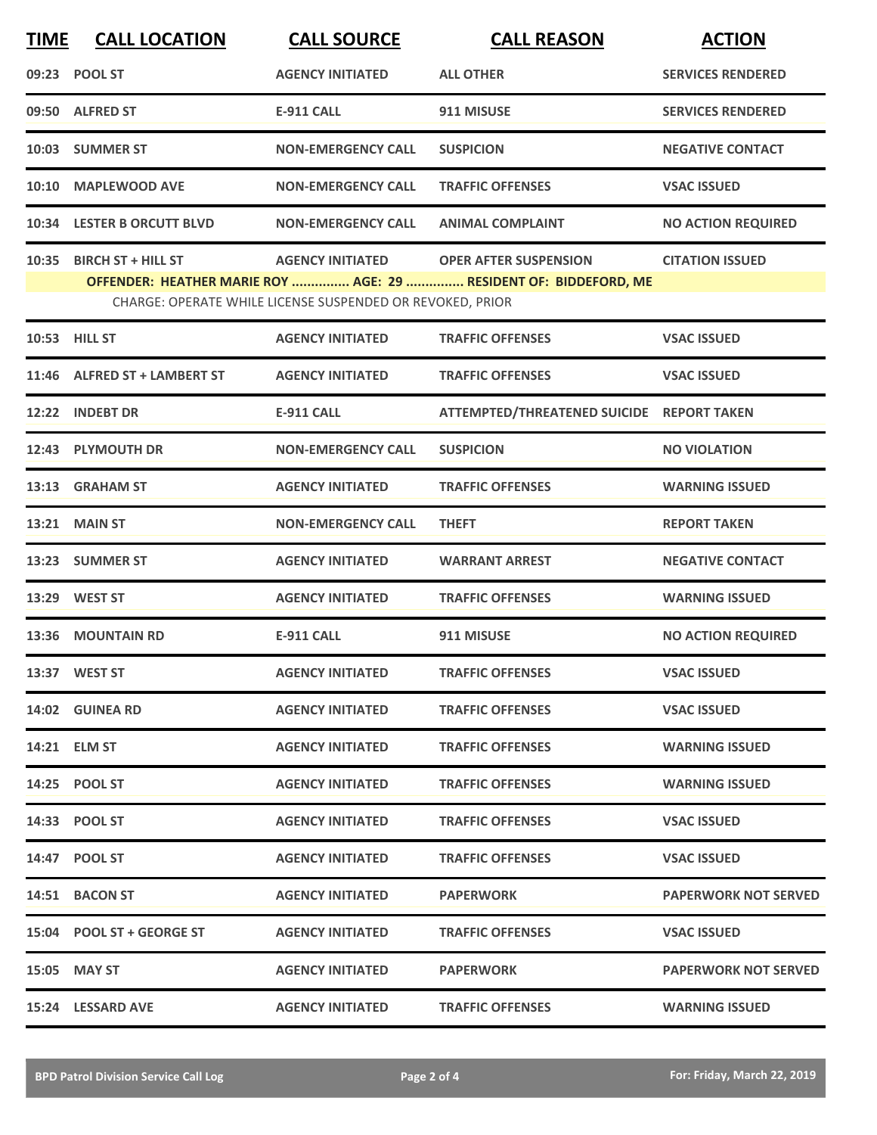| <b>TIME</b>                                                                                                                   | <b>CALL LOCATION</b>         | <b>CALL SOURCE</b>        | <b>CALL REASON</b>                        | <b>ACTION</b>               |  |
|-------------------------------------------------------------------------------------------------------------------------------|------------------------------|---------------------------|-------------------------------------------|-----------------------------|--|
|                                                                                                                               | 09:23 POOL ST                | <b>AGENCY INITIATED</b>   | <b>ALL OTHER</b>                          | <b>SERVICES RENDERED</b>    |  |
|                                                                                                                               | 09:50 ALFRED ST              | <b>E-911 CALL</b>         | 911 MISUSE                                | <b>SERVICES RENDERED</b>    |  |
|                                                                                                                               | 10:03 SUMMER ST              | <b>NON-EMERGENCY CALL</b> | <b>SUSPICION</b>                          | <b>NEGATIVE CONTACT</b>     |  |
|                                                                                                                               | 10:10 MAPLEWOOD AVE          | <b>NON-EMERGENCY CALL</b> | <b>TRAFFIC OFFENSES</b>                   | <b>VSAC ISSUED</b>          |  |
|                                                                                                                               | 10:34 LESTER B ORCUTT BLVD   | <b>NON-EMERGENCY CALL</b> | <b>ANIMAL COMPLAINT</b>                   | <b>NO ACTION REQUIRED</b>   |  |
| 10:35                                                                                                                         | <b>BIRCH ST + HILL ST</b>    | <b>AGENCY INITIATED</b>   | <b>OPER AFTER SUSPENSION</b>              | <b>CITATION ISSUED</b>      |  |
| OFFENDER: HEATHER MARIE ROY  AGE: 29  RESIDENT OF: BIDDEFORD, ME<br>CHARGE: OPERATE WHILE LICENSE SUSPENDED OR REVOKED, PRIOR |                              |                           |                                           |                             |  |
|                                                                                                                               | 10:53 HILL ST                | <b>AGENCY INITIATED</b>   | <b>TRAFFIC OFFENSES</b>                   | <b>VSAC ISSUED</b>          |  |
|                                                                                                                               | 11:46 ALFRED ST + LAMBERT ST | <b>AGENCY INITIATED</b>   | <b>TRAFFIC OFFENSES</b>                   | <b>VSAC ISSUED</b>          |  |
|                                                                                                                               | 12:22 INDEBT DR              | <b>E-911 CALL</b>         | ATTEMPTED/THREATENED SUICIDE REPORT TAKEN |                             |  |
|                                                                                                                               | 12:43 PLYMOUTH DR            | <b>NON-EMERGENCY CALL</b> | <b>SUSPICION</b>                          | <b>NO VIOLATION</b>         |  |
|                                                                                                                               | 13:13 GRAHAM ST              | <b>AGENCY INITIATED</b>   | <b>TRAFFIC OFFENSES</b>                   | <b>WARNING ISSUED</b>       |  |
|                                                                                                                               | 13:21 MAIN ST                | <b>NON-EMERGENCY CALL</b> | <b>THEFT</b>                              | <b>REPORT TAKEN</b>         |  |
|                                                                                                                               | 13:23 SUMMER ST              | <b>AGENCY INITIATED</b>   | <b>WARRANT ARREST</b>                     | <b>NEGATIVE CONTACT</b>     |  |
|                                                                                                                               | 13:29 WEST ST                | <b>AGENCY INITIATED</b>   | <b>TRAFFIC OFFENSES</b>                   | <b>WARNING ISSUED</b>       |  |
|                                                                                                                               | 13:36 MOUNTAIN RD            | <b>E-911 CALL</b>         | 911 MISUSE                                | <b>NO ACTION REQUIRED</b>   |  |
|                                                                                                                               | 13:37 WEST ST                | <b>AGENCY INITIATED</b>   | <b>TRAFFIC OFFENSES</b>                   | <b>VSAC ISSUED</b>          |  |
|                                                                                                                               | 14:02 GUINEA RD              | <b>AGENCY INITIATED</b>   | <b>TRAFFIC OFFENSES</b>                   | <b>VSAC ISSUED</b>          |  |
|                                                                                                                               | 14:21 ELM ST                 | <b>AGENCY INITIATED</b>   | <b>TRAFFIC OFFENSES</b>                   | <b>WARNING ISSUED</b>       |  |
|                                                                                                                               | 14:25 POOL ST                | <b>AGENCY INITIATED</b>   | <b>TRAFFIC OFFENSES</b>                   | <b>WARNING ISSUED</b>       |  |
|                                                                                                                               | 14:33 POOL ST                | <b>AGENCY INITIATED</b>   | <b>TRAFFIC OFFENSES</b>                   | <b>VSAC ISSUED</b>          |  |
|                                                                                                                               | 14:47 POOL ST                | <b>AGENCY INITIATED</b>   | <b>TRAFFIC OFFENSES</b>                   | <b>VSAC ISSUED</b>          |  |
|                                                                                                                               | 14:51 BACON ST               | <b>AGENCY INITIATED</b>   | <b>PAPERWORK</b>                          | <b>PAPERWORK NOT SERVED</b> |  |
|                                                                                                                               | 15:04 POOL ST + GEORGE ST    | <b>AGENCY INITIATED</b>   | <b>TRAFFIC OFFENSES</b>                   | <b>VSAC ISSUED</b>          |  |
|                                                                                                                               | 15:05 MAY ST                 | <b>AGENCY INITIATED</b>   | <b>PAPERWORK</b>                          | <b>PAPERWORK NOT SERVED</b> |  |
|                                                                                                                               | 15:24 LESSARD AVE            | <b>AGENCY INITIATED</b>   | <b>TRAFFIC OFFENSES</b>                   | <b>WARNING ISSUED</b>       |  |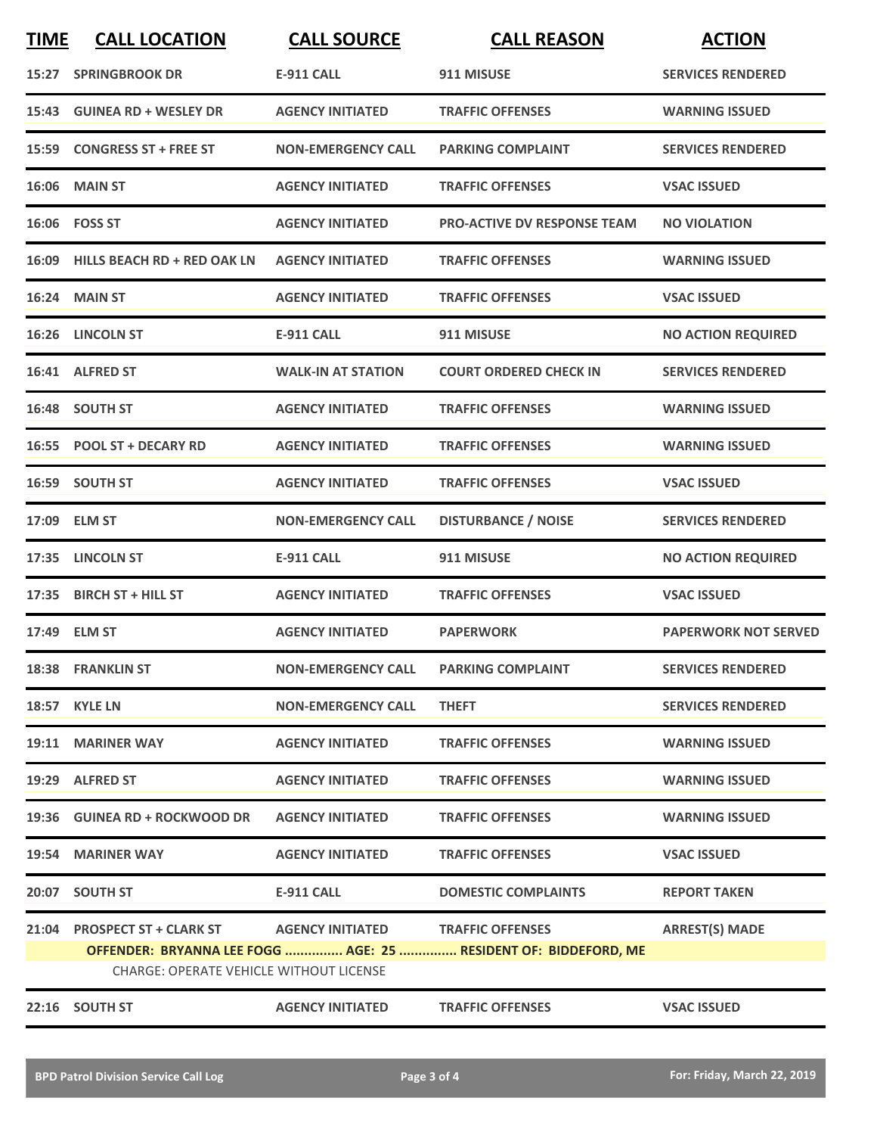| <b>TIME</b> | <b>CALL LOCATION</b>                           | <b>CALL SOURCE</b>                | <b>CALL REASON</b>                                              | <b>ACTION</b>               |
|-------------|------------------------------------------------|-----------------------------------|-----------------------------------------------------------------|-----------------------------|
|             | <b>15:27 SPRINGBROOK DR</b>                    | <b>E-911 CALL</b>                 | 911 MISUSE                                                      | <b>SERVICES RENDERED</b>    |
|             | 15:43 GUINEA RD + WESLEY DR                    | <b>AGENCY INITIATED</b>           | <b>TRAFFIC OFFENSES</b>                                         | <b>WARNING ISSUED</b>       |
| 15:59       | <b>CONGRESS ST + FREE ST</b>                   | <b>NON-EMERGENCY CALL</b>         | <b>PARKING COMPLAINT</b>                                        | <b>SERVICES RENDERED</b>    |
|             | <b>16:06 MAIN ST</b>                           | <b>AGENCY INITIATED</b>           | <b>TRAFFIC OFFENSES</b>                                         | <b>VSAC ISSUED</b>          |
|             | 16:06  FOSS ST                                 | <b>AGENCY INITIATED</b>           | <b>PRO-ACTIVE DV RESPONSE TEAM</b>                              | <b>NO VIOLATION</b>         |
|             | 16:09 HILLS BEACH RD + RED OAK LN              | <b>AGENCY INITIATED</b>           | <b>TRAFFIC OFFENSES</b>                                         | <b>WARNING ISSUED</b>       |
|             | 16:24 MAIN ST                                  | <b>AGENCY INITIATED</b>           | <b>TRAFFIC OFFENSES</b>                                         | <b>VSAC ISSUED</b>          |
|             | 16:26 LINCOLN ST                               | <b>E-911 CALL</b>                 | 911 MISUSE                                                      | <b>NO ACTION REQUIRED</b>   |
|             | 16:41 ALFRED ST                                | <b>WALK-IN AT STATION</b>         | <b>COURT ORDERED CHECK IN</b>                                   | <b>SERVICES RENDERED</b>    |
|             | 16:48 SOUTH ST                                 | <b>AGENCY INITIATED</b>           | <b>TRAFFIC OFFENSES</b>                                         | <b>WARNING ISSUED</b>       |
|             | 16:55 POOL ST + DECARY RD                      | <b>AGENCY INITIATED</b>           | <b>TRAFFIC OFFENSES</b>                                         | <b>WARNING ISSUED</b>       |
|             | 16:59 SOUTH ST                                 | <b>AGENCY INITIATED</b>           | <b>TRAFFIC OFFENSES</b>                                         | <b>VSAC ISSUED</b>          |
|             | 17:09 ELM ST                                   | <b>NON-EMERGENCY CALL</b>         | <b>DISTURBANCE / NOISE</b>                                      | <b>SERVICES RENDERED</b>    |
|             | 17:35 LINCOLN ST                               | <b>E-911 CALL</b>                 | 911 MISUSE                                                      | <b>NO ACTION REQUIRED</b>   |
| 17:35       | <b>BIRCH ST + HILL ST</b>                      | <b>AGENCY INITIATED</b>           | <b>TRAFFIC OFFENSES</b>                                         | <b>VSAC ISSUED</b>          |
|             | 17:49 ELM ST                                   | <b>AGENCY INITIATED</b>           | <b>PAPERWORK</b>                                                | <b>PAPERWORK NOT SERVED</b> |
|             | 18:38 FRANKLIN ST                              | <b>NON-EMERGENCY CALL</b>         | <b>PARKING COMPLAINT</b>                                        | <b>SERVICES RENDERED</b>    |
|             | <b>18:57 KYLE LN</b>                           | <b>NON-EMERGENCY CALL</b>         | <b>THEFT</b>                                                    | <b>SERVICES RENDERED</b>    |
|             | 19:11 MARINER WAY                              | <b>AGENCY INITIATED</b>           | <b>TRAFFIC OFFENSES</b>                                         | <b>WARNING ISSUED</b>       |
|             | 19:29 ALFRED ST                                | <b>AGENCY INITIATED</b>           | <b>TRAFFIC OFFENSES</b>                                         | <b>WARNING ISSUED</b>       |
|             | 19:36 GUINEA RD + ROCKWOOD DR                  | <b>AGENCY INITIATED</b>           | <b>TRAFFIC OFFENSES</b>                                         | <b>WARNING ISSUED</b>       |
|             | 19:54 MARINER WAY                              | <b>AGENCY INITIATED</b>           | <b>TRAFFIC OFFENSES</b>                                         | <b>VSAC ISSUED</b>          |
|             | 20:07 SOUTH ST                                 | E-911 CALL                        | <b>DOMESTIC COMPLAINTS</b>                                      | <b>REPORT TAKEN</b>         |
|             | 21:04 PROSPECT ST + CLARK ST                   | AGENCY INITIATED TRAFFIC OFFENSES |                                                                 | <b>ARREST(S) MADE</b>       |
|             | <b>CHARGE: OPERATE VEHICLE WITHOUT LICENSE</b> |                                   | OFFENDER: BRYANNA LEE FOGG  AGE: 25  RESIDENT OF: BIDDEFORD, ME |                             |
|             | 22:16 SOUTH ST                                 | <b>AGENCY INITIATED</b>           | <b>TRAFFIC OFFENSES</b>                                         | <b>VSAC ISSUED</b>          |